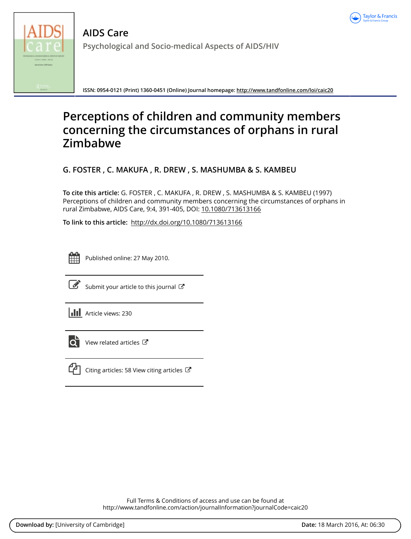



**AIDS Care Psychological and Socio-medical Aspects of AIDS/HIV**

**ISSN: 0954-0121 (Print) 1360-0451 (Online) Journal homepage:<http://www.tandfonline.com/loi/caic20>**

# **Perceptions of children and community members concerning the circumstances of orphans in rural Zimbabwe**

**G. FOSTER , C. MAKUFA , R. DREW , S. MASHUMBA & S. KAMBEU**

**To cite this article:** G. FOSTER , C. MAKUFA , R. DREW , S. MASHUMBA & S. KAMBEU (1997) Perceptions of children and community members concerning the circumstances of orphans in rural Zimbabwe, AIDS Care, 9:4, 391-405, DOI: [10.1080/713613166](http://www.tandfonline.com/action/showCitFormats?doi=10.1080/713613166)

**To link to this article:** <http://dx.doi.org/10.1080/713613166>



Published online: 27 May 2010.



[Submit your article to this journal](http://www.tandfonline.com/action/authorSubmission?journalCode=caic20&page=instructions)  $\mathbb{Z}$ 





[View related articles](http://www.tandfonline.com/doi/mlt/10.1080/713613166) C



[Citing articles: 58 View citing articles](http://www.tandfonline.com/doi/citedby/10.1080/713613166#tabModule)  $\mathbb{Z}$ 

Full Terms & Conditions of access and use can be found at <http://www.tandfonline.com/action/journalInformation?journalCode=caic20>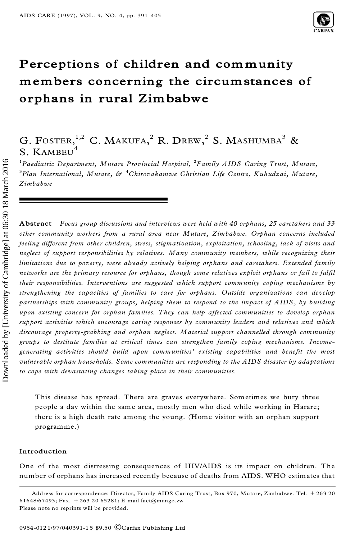

# **Perceptions of children and community members concerning the circumstances of orphans in rural Zimbabwe**

# G. FOSTER, $^{1,2}$  C. Makufa, $^{2}$  R. Drew, $^{2}$  S. Mashumba $^{3}$  & **S. KAMBEU**

<sup>1</sup>*Paediatric Department, Mutare Provincial Hospital,* <sup>2</sup>*Family AIDS Caring Trust, Mutare,* <sup>3</sup>*Plan International, Mutare, &* <sup>4</sup>*Chirovakamwe Christian Life Centre, Kuhudzai, Mutare, Zimbabwe*

**Abstract** *Focus group discussions and interviews were held with 40 orphans, 25 caretakers and 33 other community workers from a rural area near Mutare, Zimbabwe. Orphan concerns included feeling different from other children, stress, stigmatization, exploitation, schooling, lack of visits and neglect of support responsibilities by relatives. Many community members, while recognizing their limitations due to poverty, were already actively helping orphans and caretakers. Extended family networks are the primary resource for orphans, though some relatives exploit orphans or fail to ful®l their responsibilities. Interventions are suggested which support community coping mechanisms by strengthening the capacities of families to care for orphans. Outside organizations can develop partnerships with community groups, helping them to respond to the impact of AIDS, by building upon existing concern for orphan families. They can help affected communities to develop orphan support activities which encourage caring responses by community leaders and relatives and which discourage property-grabbing and orphan neglect. Material support channelled through community groups to destitute families at critical times can strengthen family coping mechanisms. Incomegenerating activities should build upon communities' existing capabilities and benefit the most vulnerable orphan households. Some communities are responding to the AIDS disaster by adaptations to cope with devastating changes taking place in their communities.*

This disease has spread. There are graves everywhere. Sometimes we bury three people a day within the same area, mostly men who died while working in Harare; there is a high death rate among the young. (Home visitor with an orphan support programme.)

# **Introduction**

One of the most distressing consequences of HIV/AIDS is its impact on children. The number of orphans has increased recently because of deaths from AIDS. WHO estimates that

Address for correspondence: Director, Family AIDS Caring Trust, Box 970, Mutare, Zimbabwe. Tel. + 263 20 61648/67493; Fax. +263 20 65281; E-mail fact@mango.zw Please note no reprints will be provided.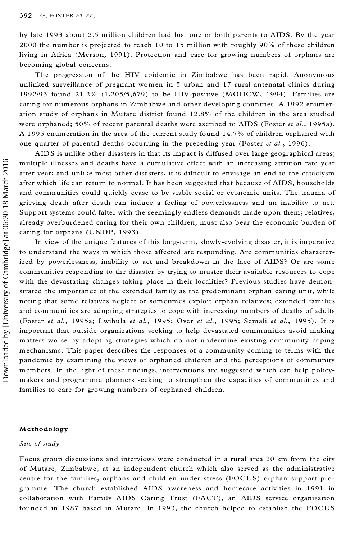by late 1993 about 2.5 million children had lost one or both parents to AIDS. By the year 2000 the number is projected to reach 10 to 15 million with roughly 90% of these children living in Africa (Merson, 1991). Protection and care for growing numbers of orphans are becoming global concerns.

The progression of the HIV epidemic in Zimbabwe has been rapid. Anonymous unlinked surveillance of pregnant women in 5 urban and 17 rural antenatal clinics during 1992/93 found 21.2% (1,205/5,679) to be HIV-positive (MOHCW, 1994). Families are caring for numerous orphans in Zimbabwe and other developing countries. A 1992 enumer ation study of orphans in Mutare district found 12.8% of the children in the area studied were orphaned; 50% of recent parental deaths were ascribed to AIDS (Foster *et al.*, 1995a). A 1995 enumeration in the area of the current study found 14.7% of children orphaned with one quarter of parental deaths occurring in the preceding year (Foster *et al.*, 1996).

AIDS is unlike other disasters in that its impact is diffused over large geographical areas; multiple illnesses and deaths have a cumulative effect with an increasing attrition rate year after year; and unlike most other disasters, it is difficult to envisage an end to the cataclysm after which life can return to normal. It has been suggested that because of AIDS, households and communities could quickly cease to be viable social or economic units. The trauma of grieving death after death can induce a feeling of powerlessness and an inability to act. Support systems could falter with the seemingly endless demands made upon them ; relatives, already overburdened caring for their own children, must also bear the economic burden of caring for orphans (UNDP, 1993).

In view of the unique features of this long-term, slowly-evolving disaster, it is imperative to understand the ways in which those affected are responding. Are communities characterized by powerlessness, inability to act and breakdown in the face of AIDS? Or are some communities responding to the disaster by trying to muster their available resources to cope with the devastating changes taking place in their localities? Previous studies have demonstrated the importance of the extended family as the predominant orphan caring unit, while noting that some relatives neglect or sometimes exploit orphan relatives; extended families and communities are adopting strategies to cope with increasing numbers of deaths of adults (Foster *et al.*, 1995a; Lwihula *et al.*, 1995; Over *et al.*, 1995; Semali *et al.*, 1995). It is important that outside organizations seeking to help devastated communities avoid making matters worse by adopting strategies which do not undermine existing community coping mechanisms. This paper describes the responses of a community coming to terms with the pandemic by examining the views of orphaned children and the perceptions of community members. In the light of these findings, interventions are suggested which can help policymakers and programme planners seeking to strengthen the capacities of communities and families to care for growing numbers of orphaned children.

#### **Methodology**

### *Site of study*

Focus group discussions and interviews were conducted in a rural area 20 km from the city of Mutare, Zimbabwe, at an independent church which also served as the administrative centre for the families, orphans and children under stress (FOCUS) orphan support pro gramme. The church established AIDS awareness and homecare activities in 1991 in collaboration with Family AIDS Caring Trust (FACT), an AIDS service organization founded in 1987 based in Mutare. In 1993, the church helped to establish the FOCUS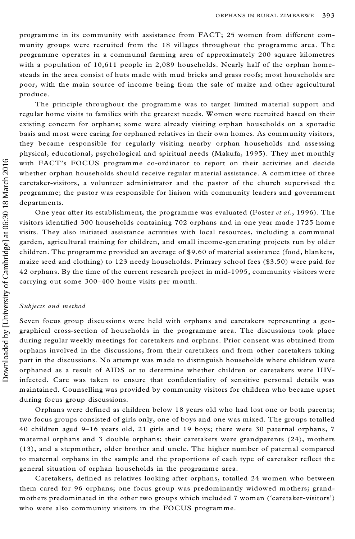programme in its community with assistance from FACT; 25 women from different com munity groups were recruited from the 18 villages throughout the programme area. The programme operates in a communal farming area of approximately 200 square kilometres with a population of 10,611 people in 2,089 households. Nearly half of the orphan homesteads in the area consist of huts made with mud bricks and grass roofs; most households are poor, with the main source of income being from the sale of maize and other agricultural produce.

The principle throughout the programme was to target limited material support and regular home visits to families with the greatest needs. Women were recruited based on their existing concern for orphans; some were already visiting orphan households on a sporadic basis and most were caring for orphaned relatives in their own homes. As community visitors, they became responsible for regularly visiting nearby orphan households and assessing physical, educational, psychological and spiritual needs (Makufa, 1995). They met monthly with FACT's FOCUS programme co-ordinator to report on their activities and decide whether orphan households should receive regular material assistance. A committee of three caretaker-visitors, a volunteer administrator and the pastor of the church supervised the programme; the pastor was responsible for liaison with community leaders and government departments.

One year after its establishment, the programme was evaluated (Foster *et al.*, 1996). The visitors identified 300 households containing 702 orphans and in one year made 1725 home visits. They also initiated assistance activities with local resources, including a communal garden, agricultural training for children, and small income-generating projects run by older children. The programme provided an average of \$9.60 of material assistance (food, blankets, maize seed and clothing) to 123 needy households. Primary school fees (\$3.50) were paid for 42 orphans. By the time of the current research project in mid-1995, community visitors were carrying out some 300-400 home visits per month.

# *Subjects and method*

Seven focus group discussions were held with orphans and caretakers representing a geo graphical cross-section of households in the programme area. The discussions took place during regular weekly meetings for caretakers and orphans. Prior consent was obtained from orphans involved in the discussions, from their caretakers and from other caretakers taking part in the discussions. No attem pt was made to distinguish households where children were orphaned as a result of AIDS or to determine whether children or caretakers were HIVinfected. Care was taken to ensure that confidentiality of sensitive personal details was maintained. Counselling was provided by community visitors for children who became upset during focus group discussions.

Orphans were defined as children below 18 years old who had lost one or both parents; two focus groups consisted of girls only, one of boys and one was mixed. The groups totalled 40 children aged 9 $-16$  years old, 21 girls and 19 boys; there were 30 paternal orphans, 7 maternal orphans and 3 double orphans; their caretakers were grandparents (24), mothers (13), and a stepmother, older brother and uncle. The higher number of paternal compared to maternal orphans in the sample and the proportions of each type of caretaker reflect the general situation of orphan households in the programme area.

Caretakers, defined as relatives looking after orphans, totalled 24 women who between them cared for 96 orphans; one focus group was predominantly widowed mothers; grand mothers predominated in the other two groups which included 7 women (`caretaker-visitors') who were also community visitors in the FOCUS programme.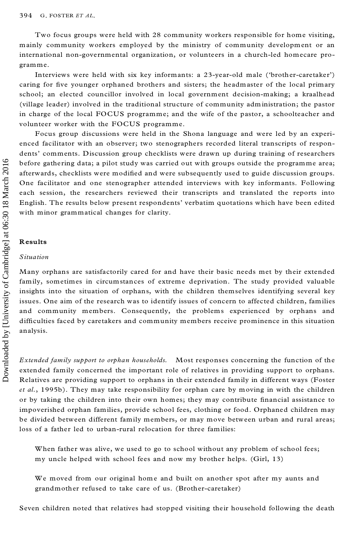Two focus groups were held with 28 community workers responsible for home visiting, mainly community workers employed by the ministry of community development or an international non-governmental organization, or volunteers in a church-led homecare pro gramme.

Interviews were held with six key informants: a 23-year-old male (`brother-caretaker') caring for five younger orphaned brothers and sisters; the headmaster of the local primary school; an elected councillor involved in local government decision-making; a kraalhead (village leader) involved in the traditional structure of community administration; the pastor in charge of the local FOCUS programme; and the wife of the pastor, a schoolteacher and volunteer worker with the FOCUS programme.

Focus group discussions were held in the Shona language and were led by an experi enced facilitator with an observer; two stenographers recorded literal transcripts of respon dents' comments. Discussion group checklists were drawn up during training of researchers before gathering data; a pilot study was carried out with groups outside the programme area; afterwards, checklists were modified and were subsequently used to guide discussion groups. One facilitator and one stenographer attended interviews with key informants. Following each session, the researchers reviewed their transcripts and translated the reports into English. The results below present respondents' verbatim quotations which have been edited with minor grammatical changes for clarity.

#### **Results**

#### *Situation*

Many orphans are satisfactorily cared for and have their basic needs met by their extended family, sometimes in circumstances of extreme deprivation. The study provided valuable insights into the situation of orphans, with the children themselves identifying several key issues. One aim of the research was to identify issues of concern to affected children, families and community members. Consequently, the problems experienced by orphans and difficulties faced by caretakers and community members receive prominence in this situation analysis.

*Extended family support to orphan households.* Most responses concerning the function of the extended family concerned the important role of relatives in providing support to orphans. Relatives are providing support to orphans in their extended family in different ways (Foster *et al.*, 1995b). They may take responsibility for orphan care by moving in with the children or by taking the children into their own homes; they may contribute financial assistance to impoverished orphan families, provide school fees, clothing or food. Orphaned children may be divided between different family members, or may move between urban and rural areas; loss of a father led to urban-rural relocation for three families:

When father was alive, we used to go to school without any problem of school fees; my uncle helped with school fees and now my brother helps. (Girl, 13)

We moved from our original home and built on another spot after my aunts and grandmother refused to take care of us. (Brother-caretaker)

Seven children noted that relatives had stopped visiting their household following the death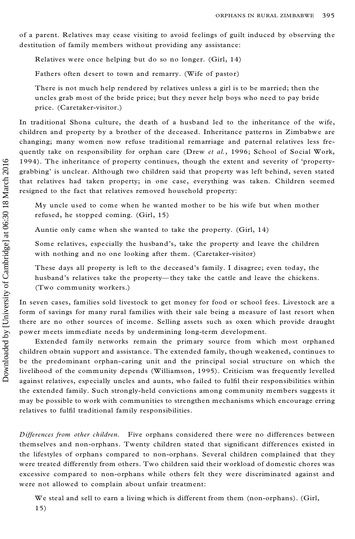of a parent. Relatives may cease visiting to avoid feelings of guilt induced by observing the destitution of family members without providing any assistance:

Relatives were once helping but do so no longer. (Girl, 14)

Fathers often desert to town and remarry. (Wife of pastor)

There is not much help rendered by relatives unless a girl is to be married; then the uncles grab most of the bride price; but they never help boys who need to pay bride price. (Caretaker-visitor.)

In traditional Shona culture, the death of a husband led to the inheritance of the wife, children and property by a brother of the deceased. Inheritance patterns in Zimbabwe are changing; many women now refuse traditional remarriage and paternal relatives less fre quently take on responsibility for orphan care (Drew *et al.*, 1996; School of Social Work, 1994). The inheritance of property continues, though the extent and severity of `propertygrabbing' is unclear. Although two children said that property was left behind, seven stated that relatives had taken property; in one case, everything was taken. Children seemed resigned to the fact that relatives removed household property:

My uncle used to come when he wanted mother to be his wife but when mother refused, he stopped coming. (Girl, 15)

Auntie only came when she wanted to take the property. (Girl, 14)

Some relatives, especially the husband's, take the property and leave the children with nothing and no one looking after them. (Caretaker-visitor)

These days all property is left to the deceased's family. I disagree; even today, the husband's relatives take the property—they take the cattle and leave the chickens. (Two community workers.)

In seven cases, families sold livestock to get money for food or school fees. Livestock are a form of savings for many rural families with their sale being a measure of last resort when there are no other sources of income. Selling assets such as oxen which provide draught power meets immediate needs by undermining long-term development.

Extended family networks remain the primary source from which most orphaned children obtain support and assistance. The extended family, though weakened, continues to be the predominant orphan-caring unit and the principal social structure on which the livelihood of the community depends (Williamson, 1995). Criticism was frequently levelled against relatives, especially uncles and aunts, who failed to fulfil their responsibilities within the extended family. Such strongly-held convictions among community members suggests it may be possible to work with communities to strengthen mechanisms which encourage erring relatives to fulfil traditional family responsibilities. 1994). The grabbing' is that relationships that relationships that relationships in the March 2016, 2017 10:30 18 March 2016 1917 10:30 1918 10:30 1918 10:30 1918 10:40 10:40 10:40 10:40 10:40 10:40 10:40 10:40 10:40 10:40

*Differences from other children.* Five orphans considered there were no differences between themselves and non-orphans. Twenty children stated that significant differences existed in the lifestyles of orphans compared to non-orphans. Several children complained that they were treated differently from others. Two children said their workload of domestic chores was excessive compared to non-orphans while others felt they were discriminated against and were not allowed to complain about unfair treatment:

We steal and sell to earn a living which is different from them (non-orphans). (Girl,  $15)$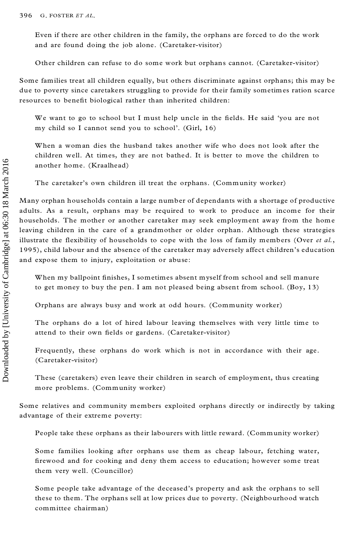Even if there are other children in the family, the orphans are forced to do the work and are found doing the job alone. (Caretaker-visitor)

Other children can refuse to do some work but orphans cannot. (Caretaker-visitor)

Some families treat all children equally, but others discriminate against orphans; this may be due to poverty since caretakers struggling to provide for their family sometimes ration scarce resources to benefit biological rather than inherited children:

We want to go to school but I must help uncle in the fields. He said 'you are not my child so I cannot send you to school'. (Girl, 16)

When a woman dies the husband takes another wife who does not look after the children well. At times, they are not bathed. It is better to move the children to another home. (Kraalhead)

The caretaker's own children ill treat the orphans. (Community worker)

Many orphan households contain a large number of dependants with a shortage of productive adults. As a result, orphans may be required to work to produce an income for their households. The mother or another caretaker may seek employment away from the hom e leaving children in the care of a grandmother or older orphan. Although these strategies illustrate the flexibility of households to cope with the loss of fam ilymembers (Over *et al.*, 1995), child labour and the absence of the caretaker may adversely affect children's education and expose them to injury, exploitation or abuse:

When my ballpoint finishes, I sometimes absent myself from school and sell manure to get money to buy the pen. I am not pleased being absent from school. (Boy, 13)

Orphans are always busy and work at odd hours. (Community worker)

The orphans do a lot of hired labour leaving themselves with very little time to attend to their own fields or gardens. (Caretaker-visitor)

Frequently, these orphans do work which is not in accordance with their age. (Caretaker-visitor)

These (caretakers) even leave their children in search of employment, thus creating more problems. (Community worker)

Some relatives and community members exploited orphans directly or indirectly by taking advantage of their extreme poverty:

People take these orphans as their labourers with little reward. (Community worker)

Some families looking after orphans use them as cheap labour, fetching water, firewood and for cooking and deny them access to education; however some treat them very well. (Councillor)

Some people take advantage of the deceased's property and ask the orphans to sell these to them. The orphans sell at low prices due to poverty. (Neighbourhood watch committee chairman)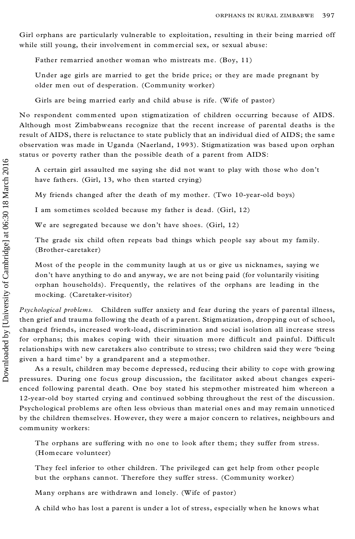Girl orphans are particularly vulnerable to exploitation, resulting in their being married off while still young, their involvement in commercial sex, or sexual abuse:

Father remarried another woman who mistreats me. (Boy, 11)

Under age girls are married to get the bride price; or they are made pregnant by older men out of desperation. (Community worker)

Girls are being married early and child abuse is rife. (Wife of pastor)

No respondent commented upon stigmatization of children occurring because of AIDS. Although most Zimbabweans recognize that the recent increase of parental deaths is the result of AIDS, there is reluctance to state publicly that an individual died of AIDS; the sam e observation was made in Uganda (Naerland, 1993). Stigmatization was based upon orphan status or poverty rather than the possible death of a parent from AIDS:

A certain girl assaulted me saying she did not want to play with those who don't have fathers. (Girl, 13, who then started crying)

My friends changed after the death of my mother. (Two 10-year-old boys)

I am sometimes scolded because my father is dead. (Girl, 12)

We are segregated because we don't have shoes. (Girl, 12)

The grade six child often repeats bad things which people say about my family. (Brother-caretaker)

Most of the people in the community laugh at us or give us nicknames, saying we don't have anything to do and anyway, we are not being paid (for voluntarily visiting orphan households). Frequently, the relatives of the orphans are leading in the mocking. (Caretaker-visitor)

*Psychological problems.* Children suffer anxiety and fear during the years of parental illness, then grief and trauma following the death of a parent. Stigmatization, dropping out of school, changed friends, increased work-load, discrimination and social isolation all increase stress for orphans; this makes coping with their situation more difficult and painful. Difficult relationships with new caretakers also contribute to stress; two children said they were `being given a hard time' by a grandparent and a stepmother.

As a result, children may become depressed, reducing their ability to cope with growing pressures. During one focus group discussion, the facilitator asked about changes experi enced following parental death. One boy stated his stepmother mistreated him whereon a 12-year-old boy started crying and continued sobbing throughout the rest of the discussion. Psychological problems are often less obvious than material ones and may remain unnoticed by the children themselves. However, they were a major concern to relatives, neighbours and community workers:

The orphans are suffering with no one to look after them; they suffer from stress. (Homecare volunteer)

They feel inferior to other children. The privileged can get help from other people but the orphans cannot. Therefore they suffer stress. (Community worker)

Many orphans are withdrawn and lonely. (Wife of pastor)

A child who has lost a parent is under a lot of stress, especially when he knows what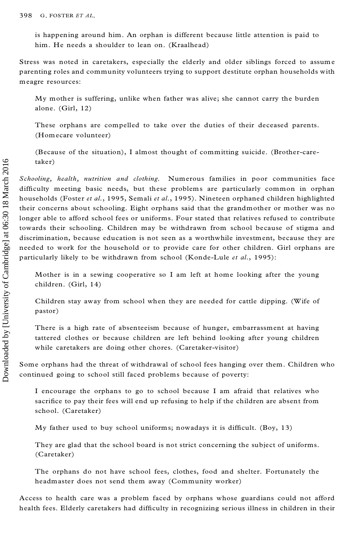is happening around him. An orphan is different because little attention is paid to him. He needs a shoulder to lean on. (Kraalhead)

Stress was noted in caretakers, especially the elderly and older siblings forced to assum e parenting roles and community volunteers trying to support destitute orphan households with meagre resources:

My mother is suffering, unlike when father was alive; she cannot carry the burden alone. (Girl, 12)

These orphans are compelled to take over the duties of their deceased parents. (Homecare volunteer)

(Because of the situation), I almost thought of committing suicide. (Brother-caretaker)

*Schooling, health, nutrition and clothing.* Numerous families in poor communities face difficulty meeting basic needs, but these problems are particularly common in orphan households (Foster *et al.*, 1995, Semali *et al.*, 1995). Nineteen orphaned children highlighted their concerns about schooling. Eight orphans said that the grandmother or mother was no longer able to afford school fees or uniforms. Four stated that relatives refused to contribute towards their schooling. Children may be withdrawn from school because of stigma and discrimination, because education is not seen as a worthwhile investment, because they are needed to work for the household or to provide care for other children. Girl orphans are particularly likely to be withdrawn from school (Konde-Lule *et al.*, 1995):

Mother is in a sewing cooperative so I am left at home looking after the young children. (Girl, 14)

Children stay away from school when they are needed for cattle dipping. (Wife of pastor)

There is a high rate of absenteeism because of hunger, embarrassment at having tattered clothes or because children are left behind looking after young children while caretakers are doing other chores. (Caretaker-visitor)

Some orphans had the threat of withdrawal of school fees hanging over them. Children who continued going to school still faced problems because of poverty:

I encourage the orphans to go to school because I am afraid that relatives who sacrifice to pay their fees will end up refusing to help if the children are absent from school. (Caretaker)

My father used to buy school uniforms; nowadays it is difficult. (Boy,  $13$ )

They are glad that the school board is not strict concerning the subject of uniforms. (Caretaker)

The orphans do not have school fees, clothes, food and shelter. Fortunately the headmaster does not send them away (Community worker)

Access to health care was a problem faced by orphans whose guardians could not afford health fees. Elderly caretakers had difficulty in recognizing serious illness in children in their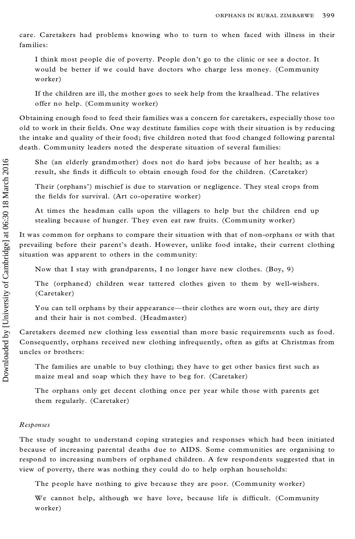care. Caretakers had problems knowing who to turn to when faced with illness in their families:

I think most people die of poverty. People don't go to the clinic or see a doctor. It would be better if we could have doctors who charge less money. (Community worker)

If the children are ill, the mother goes to seek help from the kraalhead. The relatives offer no help. (Community worker)

Obtaining enough food to feed their families was a concern for caretakers, especially those too old to work in their fields. One way destitute families cope with their situation is by reducing the intake and quality of their food; five children noted that food changed following parental death. Community leaders noted the desperate situation of several families:

She (an elderly grandmother) does not do hard jobs because of her health; as a result, she finds it difficult to obtain enough food for the children. (Caretaker)

Their (orphans') mischief is due to starvation or negligence. They steal crops from the fields for survival. (Art co-operative worker)

At times the headman calls upon the villagers to help but the children end up stealing because of hunger. They even eat raw fruits. (Community worker)

It was common for orphans to compare their situation with that of non-orphans or with that prevailing before their parent's death. However, unlike food intake, their current clothing situation was apparent to others in the community:

Now that I stay with grandparents, I no longer have new clothes. (Boy, 9)

The (orphaned) children wear tattered clothes given to them by well-wishers. (Caretaker)

You can tell orphans by their appearance—their clothes are worn out, they are dirty and their hair is not combed. (Headmaster)

Caretakers deemed new clothing less essential than more basic requirements such as food. Consequently, orphans received new clothing infrequently, often as gifts at Christmas from uncles or brothers:

The families are unable to buy clothing; they have to get other basics first such as maize meal and soap which they have to beg for. (Caretaker)

The orphans only get decent clothing once per year while those with parents get them regularly. (Caretaker)

# *Responses*

The study sought to understand coping strategies and responses which had been initiated because of increasing parental deaths due to AIDS. Some communities are organising to respond to increasing numbers of orphaned children. A few respondents suggested that in view of poverty, there was nothing they could do to help orphan households:

The people have nothing to give because they are poor. (Community worker)

We cannot help, although we have love, because life is difficult. (Community worker)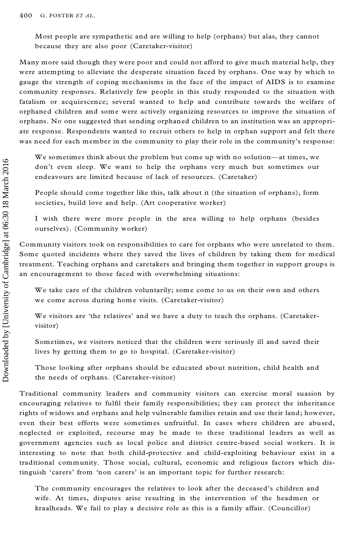Most people are sympathetic and are willing to help (orphans) but alas, they cannot because they are also poor (Caretaker-visitor)

Many more said though they were poor and could not afford to give much material help, they were attempting to alleviate the desperate situation faced by orphans. One way by which to gauge the strength of coping mechanisms in the face of the impact of AIDS is to examine community responses. Relatively few people in this study responded to the situation with fatalism or acquiescence; several wanted to help and contribute towards the welfare of orphaned children and some were actively organizing resources to improve the situation of orphans. No one suggested that sending orphaned children to an institution was an appropri ate response. Respondents wanted to recruit others to help in orphan support and felt there was need for each member in the community to play their role in the community's response:

We sometimes think about the problem but come up with no solution-at times, we don't even sleep. We want to help the orphans very much but sometimes our endeavours are limited because of lack of resources. (Caretaker)

People should come together like this, talk about it (the situation of orphans), form societies, build love and help. (Art cooperative worker)

I wish there were more people in the area willing to help orphans (besides ourselves). (Community worker)

Community visitors took on responsibilities to care for orphans who were unrelated to them. Some quoted incidents where they saved the lives of children by taking them for medical treatment. Teaching orphans and caretakers and bringing them together in support groups is an encouragement to those faced with overwhelming situations:

We take care of the children voluntarily; some come to us on their own and others we come across during home visits. (Caretaker-visitor)

We visitors are 'the relatives' and we have a duty to teach the orphans. (Caretakervisitor)

Sometimes, we visitors noticed that the children were seriously ill and saved their lives by getting them to go to hospital. (Caretaker-visitor)

Those looking after orphans should be educated about nutrition, child health and the needs of orphans. (Caretaker-visitor)

Traditional community leaders and community visitors can exercise moral suasion by encouraging relatives to fulfil their family responsibilities; they can protect the inheritance rights of widows and orphans and help vulnerable families retain and use their land; however, even their best efforts were sometimes unfruitful. In cases where children are abused, neglected or exploited, recourse may be made to these traditional leaders as well as government agencies such as local police and district centre-based social workers. It is interesting to note that both child-protective and child-exploiting behaviour exist in a traditional community. Those social, cultural, economic and religious factors which distinguish `carers' from `non carers' is an important topic for further research:

The community encourages the relatives to look after the deceased's children and wife. At times, disputes arise resulting in the intervention of the headmen or kraalheads. We fail to play a decisive role as this is a family affair. (Councillor)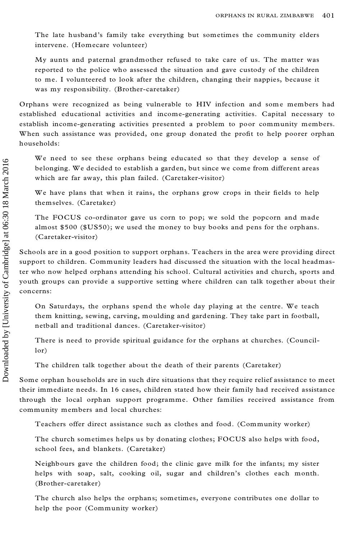The late husband's family take everything but sometimes the community elders intervene. (Homecare volunteer)

My aunts and paternal grandmother refused to take care of us. The matter was reported to the police who assessed the situation and gave custody of the children to me. I volunteered to look after the children, changing their nappies, because it was my responsibility. (Brother-caretaker)

Orphans were recognized as being vulnerable to HIV infection and some members had established educational activities and income-generating activities. Capital necessary to establish income-generating activities presented a problem to poor community members. When such assistance was provided, one group donated the profit to help poorer orphan households:

We need to see these orphans being educated so that they develop a sense of belonging. We decided to establish a garden, but since we come from different areas which are far away, this plan failed. (Caretaker-visitor)

We have plans that when it rains, the orphans grow crops in their fields to help themselves. (Caretaker)

The FOCUS co-ordinator gave us corn to pop; we sold the popcorn and made almost \$500 (\$US50); we used the money to buy books and pens for the orphans. (Caretaker-visitor)

Schools are in a good position to support orphans. Teachers in the area were providing direct support to children. Community leaders had discussed the situation with the local headmaster who now helped orphans attending his school. Cultural activities and church, sports and youth groups can provide a supportive setting where children can talk together about their concerns:

On Saturdays, the orphans spend the whole day playing at the centre. We teach them knitting, sewing, carving, moulding and gardening. They take part in football, netball and traditional dances. (Caretaker-visitor)

There is need to provide spiritual guidance for the orphans at churches. (Councillor)

The children talk together about the death of their parents (Caretaker)

Some orphan households are in such dire situations that they require relief assistance to meet their immediate needs. In 16 cases, children stated how their family had received assistance through the local orphan support programme. Other families received assistance from community members and local churches:

Teachers offer direct assistance such as clothes and food. (Community worker)

The church sometimes helps us by donating clothes; FOCUS also helps with food, school fees, and blankets. (Caretaker)

Neighbours gave the children food; the clinic gave milk for the infants; my sister helps with soap, salt, cooking oil, sugar and children's clothes each month. (Brother-caretaker)

The church also helps the orphans; sometimes, everyone contributes one dollar to help the poor (Community worker)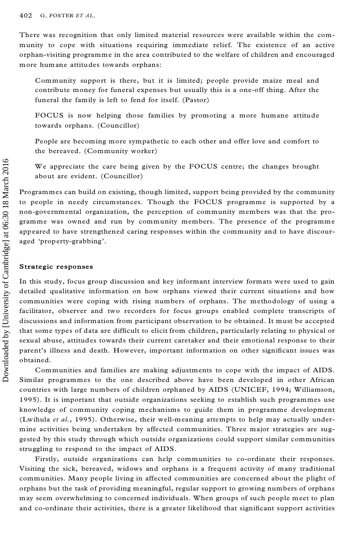There was recognition that only limited material resources were available within the com munity to cope with situations requiring immediate relief. The existence of an active orphan-visiting programme in the area contributed to the welfare of children and encouraged more humane attitudes towards orphans:

Community support is there, but it is limited; people provide maize meal and contribute money for funeral expenses but usually this is a one-off thing. After the funeral the family is left to fend for itself. (Pastor)

FOCUS is now helping those families by promoting a more humane attitude towards orphans. (Councillor)

People are becoming more sympathetic to each other and offer love and comfort to the bereaved. (Community worker)

We appreciate the care being given by the FOCUS centre; the changes brought about are evident. (Councillor)

Programmes can build on existing, though limited, support being provided by the community to people in needy circumstances. Though the FOCUS programme is supported by a non-governmental organization, the perception of community members was that the pro gramme was owned and run by community members. The presence of the programme appeared to have strengthened caring responses within the community and to have discour aged `property-grabbing'.

### **Strategic responses**

In this study, focus group discussion and key informant interview formats were used to gain detailed qualitative information on how orphans viewed their current situations and how communities were coping with rising numbers of orphans. The methodology of using a facilitator, observer and two recorders for focus groups enabled complete transcripts of discussions and information from participant observation to be obtained. It must be accepted that some types of data are difficult to elicit from children, particularly relating to physical or sexual abuse, attitudes towards their current caretaker and their emotional response to their parent's illness and death. However, important information on other significant issues was obtained. We appreciate the care being given by the FOCUS centre; the changes brought about are codent. (Councillor)<br>
Frogramme is a upported by a pan-green metally concelled that supported by the community members and the propare

Communities and families are making adjustments to cope with the impact of AIDS. Similar programmes to the one described above have been developed in other African countries with large numbers of children orphaned by AIDS (UNICEF, 1994; Williamson, 1995). It is important that outside organizations seeking to establish such programmes use knowledge of community coping mechanisms to guide them in programme development (Lwihula *et al.*, 1995). Otherwise, their well-meaning attempts to help may actually under mine activities being undertaken by affected communities. Three major strategies are suggested by this study through which outside organizations could support similar communities struggling to respond to the impact of AIDS.

Firstly, outside organizations can help communities to co-ordinate their responses. Visiting the sick, bereaved, widows and orphans is a frequent activity of many traditional communities. Many people living in affected communities are concerned about the plight of orphans but the task of providing meaningful, regular support to growing numbers of orphans may seem overwhelming to concerned individuals. When groups of such people meet to plan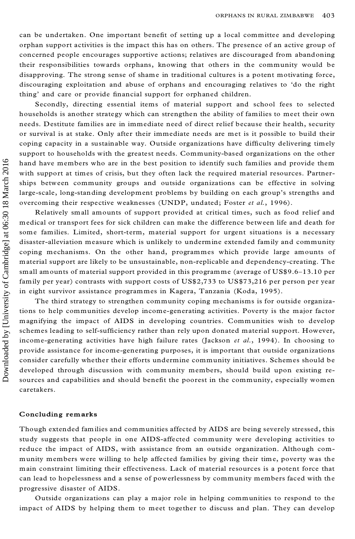can be undertaken. One important benefit of setting up a local committee and developing orphan support activities is the impact this has on others. The presence of an active group of concerned people encourages supportive actions; relatives are discouraged from abandoning their responsibilities towards orphans, knowing that others in the community would be disapproving. The strong sense of shame in traditional cultures is a potent motivating force, discouraging exploitation and abuse of orphans and encouraging relatives to `do the right thing' and care or provide financial support for orphaned children.

Secondly, directing essential items of material support and school fees to selected households is another strategy which can strengthen the ability of families to meet their own needs. Destitute families are in immediate need of direct relief because their health, security or survival is at stake. Only after their immediate needs are met is it possible to build their coping capacity in a sustainable way. Outside organizations have difficulty delivering timely support to households with the greatest needs. Community-based organizations on the other hand have members who are in the best position to identify such families and provide them with support at times of crisis, but they often lack the required material resources. Partnerships between community groups and outside organizations can be effective in solving large-scale, long-standing development problems by building on each group's strengths and overcoming their respective weaknesses (UNDP, undated; Foster *et al.*, 1996).

Relatively small amounts of support provided at critical times, such as food relief and medical or transport fees for sick children can make the difference between life and death for some families. Limited, short-term, material support for urgent situations is a necessary disaster-alleviation measure which is unlikely to undermine extended family and community coping mechanisms. On the other hand, programmes which provide large amounts of material support are likely to be unsustainable, non-replicable and dependency-creating. The small amounts of material support provided in this programme (average of  $USS9.6-13.10$  per family per year) contrasts with support costs of US\$2,733 to US\$73,216 per person per year in eight survivor assistance programmes in Kagera, Tanzania (Koda, 1995).

The third strategy to strengthen community coping mechanisms is for outside organizations to help communities develop income-generating activities. Poverty is the major factor magnifying the impact of AIDS in developing countries. Communities wish to develop schemes leading to self-sufficiency rather than rely upon donated material support. However, income-generating activities have high failure rates (Jackson *et al.*, 1994). In choosing to provide assistance for income-generating purposes, it is important that outside organizations consider carefully whether their efforts undermine community initiatives. Schemes should be developed through discussion with community members, should build upon existing resources and capabilities and should benefit the poorest in the community, especially women caretakers.

# **Concluding remarks**

Though extended fam ilies and communities affected by AIDS are being severely stressed, this study suggests that people in one AIDS-affected community were developing activities to reduce the impact of AIDS, with assistance from an outside organization. Although com munity members were willing to help affected families by giving their time, poverty was the main constraint limiting their effectiveness. Lack of material resources is a potent force that can lead to hopelessness and a sense of powerlessness by community members faced with the progressive disaster of AIDS.

Outside organizations can play a major role in helping communities to respond to the impact of AIDS by helping them to meet together to discuss and plan. They can develop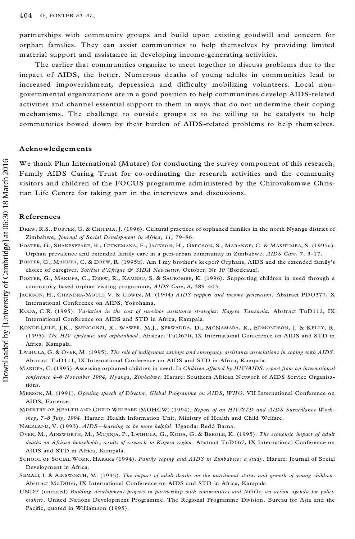partnerships with community groups and build upon existing goodwill and concern for orphan families. They can assist communities to help themselves by providing limited material support and assistance in developing income-generating activities.

The earlier that communities organize to meet together to discuss problems due to the impact of AIDS, the better. Numerous deaths of young adults in communities lead to increased impoverishment, depression and difficulty mobilizing volunteers. Local nongovernmental organizations are in a good position to help communities develop AIDS-related activities and channel essential support to them in ways that do not undermine their coping mechanisms. The challenge to outside groups is to be willing to be catalysts to help communities bowed down by their burden of AIDS-related problems to help themselves.

#### **Acknowledgements**

We thank Plan International (Mutare) for conducting the survey component of this research, Family AIDS Caring Trust for co-ordinating the research activities and the community visitors and children of the FOCUS programme administered by the Chirovakamwe Christian Life Centre for taking part in the interviews and discussions.

# **References**

- DREW, R.S., FOSTER, G. & CHITIMA, J. (1996). Cultural practices of orphaned families in the north Nyanga district of Zimbabwe, *Journal of Social Development in Africa*, 11, 79-86.
- FOSTER, G., SHAKESPEARE, R., CHINEMANA, F., JACKSON, H., GREGSON, S., MARANGE, C. & MASHUMBA, S. (1995a). Orphan prevalence and extended family care in a peri-urban community in Zimbabwe, *AIDS Care*, *7*, 3±17.
- FOSTER, G., MAKUFA, C. & DREW, R. (1995b). Am I my brother's keeper? Orphans, AIDS and the extended family's choice of caregiver, *Sociétes d'Afrique & SIDA Newsletter*, October, Nr 10 (Bordeaux).
- FOSTER, G., MAKUFA, C., DREW, R., KAMBEU, S. & SAUROMBE, K. (1996). Supporting children in need through a community-based orphan visiting programme, AIDS Care, 8, 389-403.
- JACKSON, H., CHANDRA-MOULI, V. & UDWIN, M. (1994) *AIDS support and income generation*. Abstract PDO377, X International Conference on AIDS, Yokohama.
- KODA, C.R. (1995). *Variation in the cost of survivor assistance strategies: Kagera Tanzania.* Abstract TuD112, IX International Conference on AIDS and STD in Africa, Kampala.
- KONDE-LULE, J.K., SSENGONZI, R., WAWER, M.J., SERWADDA, D., MCNAMARA, R., EDMONDSON, J. & KELLY, R. (1995). *The HIV epidemic and orphanhood* . Abstract TuD670, IX International Conference on AIDS and STD in Africa, Kampala.
- LWIHULA, G. & OVER, M. (1995). *The role of indigenous savings and emergency assistance association s in coping with AIDS*. Abstract TuD111, IX International Conference on AIDS and STD in Africa, Kampala.
- MAKUFA, C. (1995). Assessing orphaned children in need. In *Children affected by HIV/AIDS: report from an international conference 4±6 November 1994, Nyanga, Zimbabwe*. Harare: Southern African Network of AIDS Service Organisations.
- MERSON, M. (1991). *Opening speech of Director, Global Programme on AIDS, WHO.* VII International Conference on AIDS, Florence.

<sup>M</sup>INISTRY OF <sup>H</sup>EALTH AND <sup>C</sup>H ILD <sup>W</sup>ELFARE (MOHCW) (1994). *Report of an HIV/STD and AIDS Surveillance Workshop, 7±8 July, 1994*. Harare: Health Information Unit, Ministry of Health and Child Welfare.

- NAERLAND, V. (1993). *AIDS—learning to be more helpful*. Uganda: Redd Barna.
- <sup>O</sup>VER, M., <sup>A</sup>INSWORTH, M., <sup>M</sup>UJINJA, P., <sup>L</sup>W IHULA, G., <sup>K</sup>ODA, G. & <sup>B</sup>EEGLE, K. (1995). *The economic impact of adult deaths on African households; results of research in Kagera region*. Abstract TuD667, IX International Conference on AIDS and STD in Africa, Kampala.
- <sup>S</sup>CHOOL OF <sup>S</sup>OC IAL <sup>W</sup>ORK, <sup>H</sup>ARARE (1994). *Family coping and AIDS in Zimbabwe: <sup>a</sup> study*. Harare: Journal of Social Development in Africa.
- SEMALL, I. & AINSWORTH, M. (1995). The impact of adult deaths on the nutritional status and growth of young children.<br>Abstract MoD066, IX International Conference on AIDS and STD in Africa, Kampala.
- UNDP (undated) *Building developmen t projects in partnership with communities and NGOs: an action agenda for policy makers*. United Nations Development Programme, The Regional Programme Division, Bureau for Asia and the Pacific, quoted in Williamson (1995).